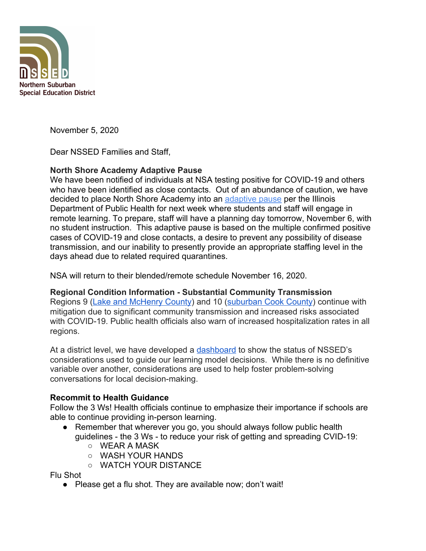

November 5, 2020

Dear NSSED Families and Staff,

# **North Shore Academy Adaptive Pause**

We have been notified of individuals at NSA testing positive for COVID-19 and others who have been identified as close contacts. Out of an abundance of caution, we have decided to place North Shore Academy into an [adaptive pause](https://www.isbe.net/Documents/IDPH-Adaptive-Pause-Metrics.pdf) per the Illinois Department of Public Health for next week where students and staff will engage in remote learning. To prepare, staff will have a planning day tomorrow, November 6, with no student instruction. This adaptive pause is based on the multiple confirmed positive cases of COVID-19 and close contacts, a desire to prevent any possibility of disease transmission, and our inability to presently provide an appropriate staffing level in the days ahead due to related required quarantines.

NSA will return to their blended/remote schedule November 16, 2020.

# **Regional Condition Information - Substantial Community Transmission**

Regions 9 ([Lake and McHenry County](https://newschannel20.com/news/local/new-restrictions-for-region-9)) and 10 ([suburban Cook County](https://www2.illinois.gov/Pages/news-item.aspx?ReleaseID=22258)) continue with mitigation due to significant community transmission and increased risks associated with COVID-19. Public health officials also warn of increased hospitalization rates in all regions.

At a district level, we have developed a [dashboard](https://www.nssed.org/Page/394) to show the status of NSSED's considerations used to guide our learning model decisions. While there is no definitive variable over another, considerations are used to help foster problem-solving conversations for local decision-making.

# **Recommit to Health Guidance**

Follow the 3 Ws! Health officials continue to emphasize their importance if schools are able to continue providing in-person learning.

- Remember that wherever you go, you should always follow public health guidelines - the 3 Ws - to reduce your risk of getting and spreading CVID-19:
	- WEAR A MASK
	- WASH YOUR HANDS
	- WATCH YOUR DISTANCE

Flu Shot

● Please get a flu shot. They are available now; don't wait!